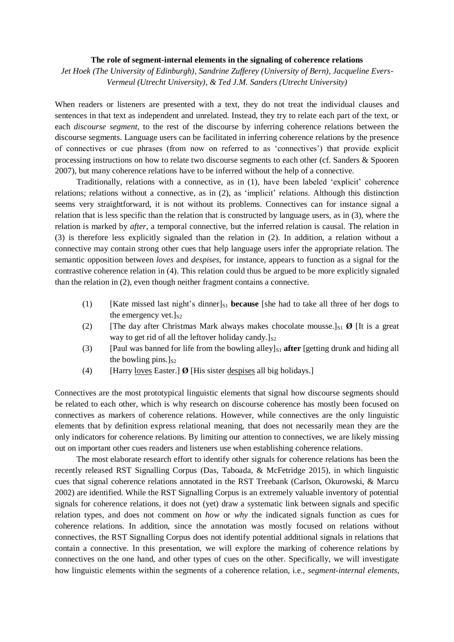## **The role of segment-internal elements in the signaling of coherence relations**

*Jet Hoek (The University of Edinburgh), Sandrine Zufferey (University of Bern), Jacqueline Evers-Vermeul (Utrecht University), & Ted J.M. Sanders (Utrecht University)*

When readers or listeners are presented with a text, they do not treat the individual clauses and sentences in that text as independent and unrelated. Instead, they try to relate each part of the text, or each *discourse segment*, to the rest of the discourse by inferring coherence relations between the discourse segments. Language users can be facilitated in inferring coherence relations by the presence of connectives or cue phrases (from now on referred to as 'connectives') that provide explicit processing instructions on how to relate two discourse segments to each other (cf. Sanders & Spooren 2007), but many coherence relations have to be inferred without the help of a connective.

Traditionally, relations with a connective, as in (1), have been labeled 'explicit' coherence relations; relations without a connective, as in (2), as 'implicit' relations. Although this distinction seems very straightforward, it is not without its problems. Connectives can for instance signal a relation that is less specific than the relation that is constructed by language users, as in (3), where the relation is marked by *after*, a temporal connective, but the inferred relation is causal. The relation in (3) is therefore less explicitly signaled than the relation in (2). In addition, a relation without a connective may contain strong other cues that help language users infer the appropriate relation. The semantic opposition between *loves* and *despises*, for instance, appears to function as a signal for the contrastive coherence relation in (4). This relation could thus be argued to be more explicitly signaled than the relation in (2), even though neither fragment contains a connective.

- (1) [Kate missed last night's dinner]<sub>S1</sub> **because** [she had to take all three of her dogs to the emergency vet. $\vert_{S_2}$
- (2) [The day after Christmas Mark always makes chocolate mousse.] $\mathbf{g}$  [It is a great way to get rid of all the leftover holiday candy.] $s_2$
- (3) [Paul was banned for life from the bowling alley] $_{S1}$  **after** [getting drunk and hiding all the bowling pins.] $s<sub>2</sub>$
- (4) [Harry loves Easter.] **Ø** [His sister despises all big holidays.]

Connectives are the most prototypical linguistic elements that signal how discourse segments should be related to each other, which is why research on discourse coherence has mostly been focused on connectives as markers of coherence relations. However, while connectives are the only linguistic elements that by definition express relational meaning, that does not necessarily mean they are the only indicators for coherence relations. By limiting our attention to connectives, we are likely missing out on important other cues readers and listeners use when establishing coherence relations.

The most elaborate research effort to identify other signals for coherence relations has been the recently released RST Signalling Corpus (Das, Taboada, & McFetridge 2015), in which linguistic cues that signal coherence relations annotated in the RST Treebank (Carlson, Okurowski, & Marcu 2002) are identified. While the RST Signalling Corpus is an extremely valuable inventory of potential signals for coherence relations, it does not (yet) draw a systematic link between signals and specific relation types, and does not comment on *how* or *why* the indicated signals function as cues for coherence relations. In addition, since the annotation was mostly focused on relations without connectives, the RST Signalling Corpus does not identify potential additional signals in relations that contain a connective. In this presentation, we will explore the marking of coherence relations by connectives on the one hand, and other types of cues on the other. Specifically, we will investigate how linguistic elements within the segments of a coherence relation, i.e., *segment-internal elements*,